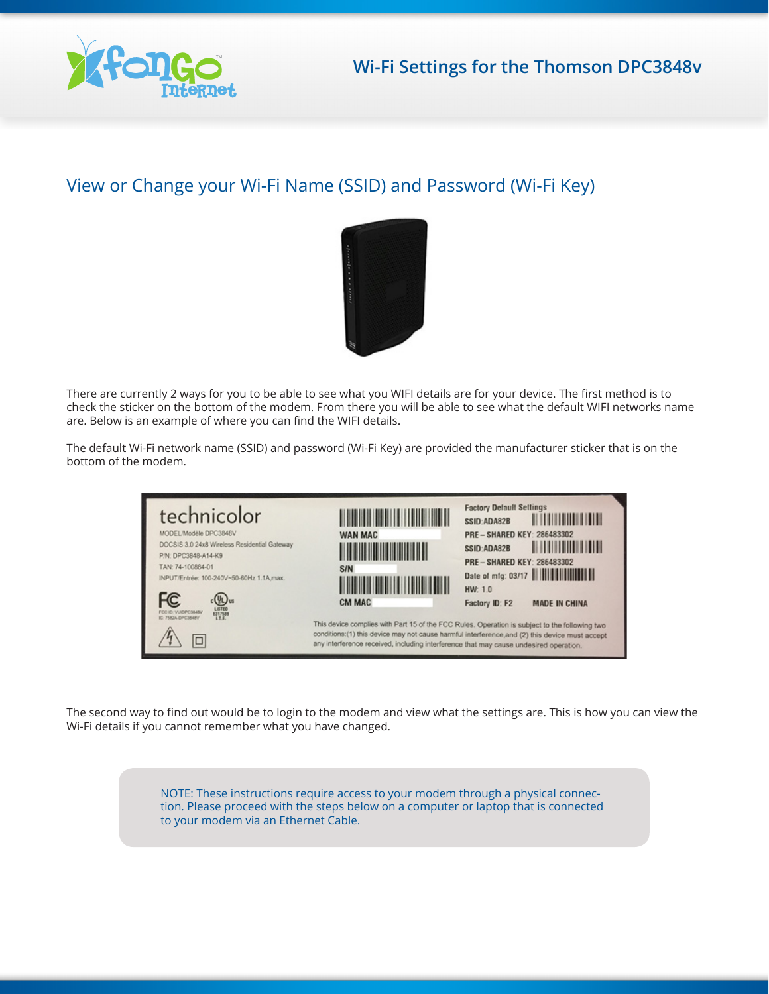

## View or Change your Wi-Fi Name (SSID) and Password (Wi-Fi Key)



There are currently 2 ways for you to be able to see what you WIFI details are for your device. The first method is to check the sticker on the bottom of the modem. From there you will be able to see what the default WIFI networks name are. Below is an example of where you can find the WIFI details.

The default Wi-Fi network name (SSID) and password (Wi-Fi Key) are provided the manufacturer sticker that is on the bottom of the modem.



The second way to find out would be to login to the modem and view what the settings are. This is how you can view the Wi-Fi details if you cannot remember what you have changed.

> NOTE: These instructions require access to your modem through a physical connection. Please proceed with the steps below on a computer or laptop that is connected to your modem via an Ethernet Cable.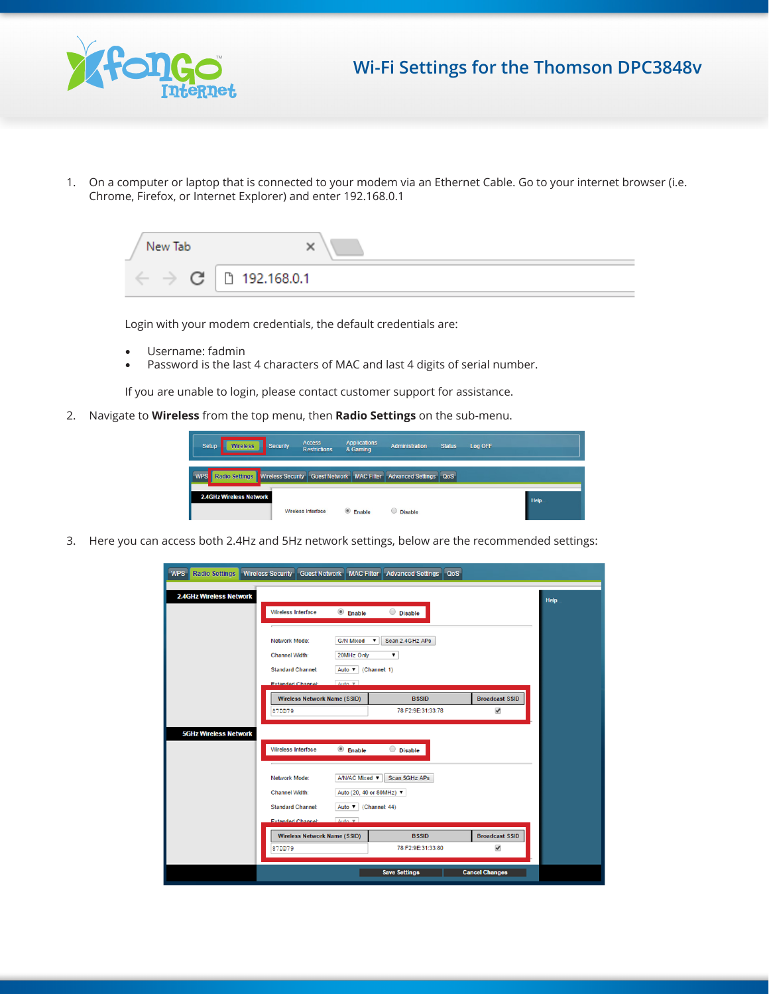

## **Wi-Fi Settings for the Thomson DPC3848v**

1. On a computer or laptop that is connected to your modem via an Ethernet Cable. Go to your internet browser (i.e. Chrome, Firefox, or Internet Explorer) and enter 192.168.0.1



Login with your modem credentials, the default credentials are:

- Username: fadmin
- Password is the last 4 characters of MAC and last 4 digits of serial number.

If you are unable to login, please contact customer support for assistance.

2. Navigate to **Wireless** from the top menu, then **Radio Settings** on the sub-menu.



3. Here you can access both 2.4Hz and 5Hz network settings, below are the recommended settings:

| <b>WPS</b>                     | Radio Settings   Wireless Security   Guest Network   MAC Filter   Advanced Settings   QoS            |                                            |                                               |      |  |  |
|--------------------------------|------------------------------------------------------------------------------------------------------|--------------------------------------------|-----------------------------------------------|------|--|--|
| <b>2.4GHz Wireless Network</b> |                                                                                                      |                                            |                                               | Help |  |  |
|                                | Wireless Interface<br><b>Enable</b>                                                                  | $O$ Disable                                |                                               |      |  |  |
|                                | Network Mode:<br><b>G/N Mixed</b>                                                                    | Scan 2.4GHz APs<br>$\overline{\mathbf{v}}$ |                                               |      |  |  |
|                                | <b>Channel Width:</b><br>20MHz Only                                                                  |                                            |                                               |      |  |  |
|                                | <b>Standard Channel:</b><br>Auto $\blacktriangledown$ (Channel: 1)                                   |                                            |                                               |      |  |  |
|                                | $Anto.$ $\overline{v}$<br><b>Extended Channel:</b>                                                   |                                            |                                               |      |  |  |
|                                | <b>Wireless Network Name (SSID)</b><br>87DD79                                                        | <b>BSSID</b><br>78:F2:9E:31:33:78          | <b>Broadcast SSID</b><br>$\blacktriangledown$ |      |  |  |
| <b>5GHz Wireless Network</b>   |                                                                                                      |                                            |                                               |      |  |  |
|                                | Wireless Interface<br>$\circledcirc$ Enable                                                          | $\bigcirc$ Disable                         |                                               |      |  |  |
|                                |                                                                                                      |                                            |                                               |      |  |  |
|                                | A/N/AC Mixed v<br>Scan 5GHz APs<br>Network Mode:                                                     |                                            |                                               |      |  |  |
|                                | Channel Width:<br>Auto (20, 40 or 80MHz) ▼                                                           |                                            |                                               |      |  |  |
|                                | <b>Standard Channel:</b><br>Auto <b>v</b> (Channel: 44)<br>Auto <b>v</b><br><b>Extended Channel:</b> |                                            |                                               |      |  |  |
|                                | <b>Wireless Network Name (SSID)</b>                                                                  | <b>BSSID</b>                               | <b>Broadcast SSID</b>                         |      |  |  |
|                                | 87DD79                                                                                               | 78:F2:9E:31:33:80                          | $\overline{\mathbf{v}}$                       |      |  |  |
|                                |                                                                                                      | <b>Save Settings</b>                       | <b>Cancel Changes</b>                         |      |  |  |
|                                |                                                                                                      |                                            |                                               |      |  |  |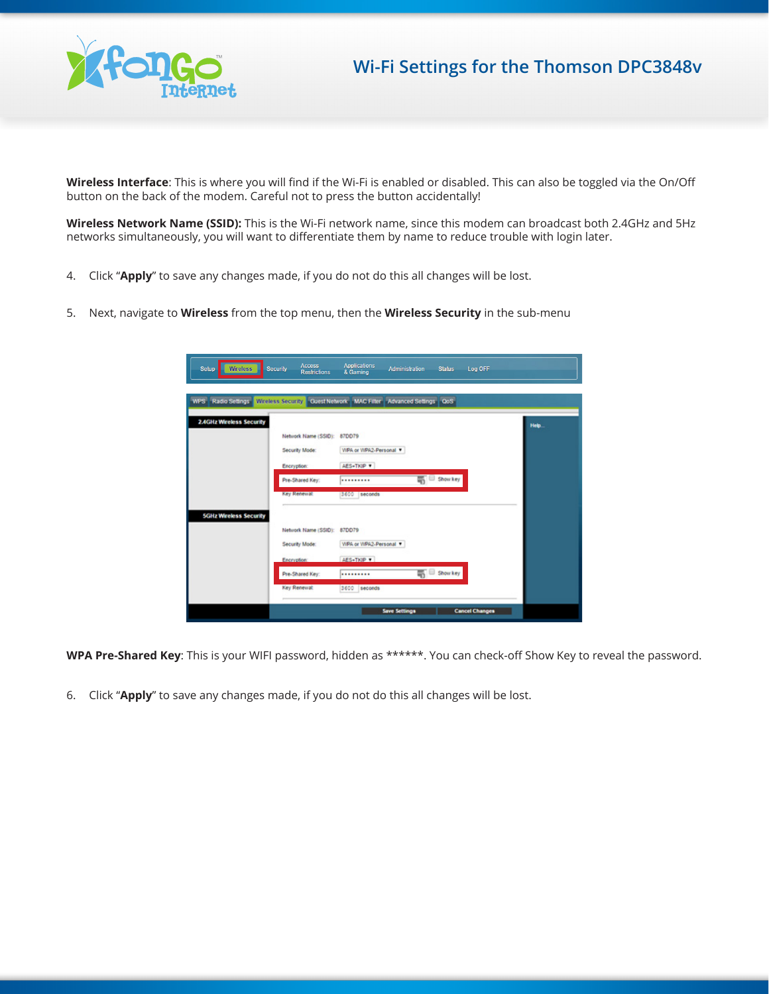

## **Wi-Fi Settings for the Thomson DPC3848v**

**Wireless Interface**: This is where you will find if the Wi-Fi is enabled or disabled. This can also be toggled via the On/Off button on the back of the modem. Careful not to press the button accidentally!

**Wireless Network Name (SSID):** This is the Wi-Fi network name, since this modem can broadcast both 2.4GHz and 5Hz networks simultaneously, you will want to differentiate them by name to reduce trouble with login later.

- 4. Click "**Apply**" to save any changes made, if you do not do this all changes will be lost.
- 5. Next, navigate to **Wireless** from the top menu, then the **Wireless Security** in the sub-menu

| <b>Wireless</b><br>Setup        | <b>Access</b><br><b>Security</b><br><b>Restrictions</b>             | <b>Applications</b><br>& Gaming                       | <b>Administration</b> | <b>Status</b>                      | Log OFF               |       |
|---------------------------------|---------------------------------------------------------------------|-------------------------------------------------------|-----------------------|------------------------------------|-----------------------|-------|
| <b>WPS</b> Radio Settings       | Wireless Security Guest Network MAC Filter Advanced Settings   OoS  |                                                       |                       |                                    |                       |       |
| <b>2.4GHz Wireless Security</b> | Network Name (SSID): 87DD79<br>Security Mode:<br><b>Encryption:</b> | WPA or WPA2-Personal ¥<br><b>AES+TKIP ¥</b>           |                       |                                    |                       | Help. |
|                                 | Pre-Shared Key:<br>Key Renewal                                      | <br>3600 seconds                                      |                       | Show key                           |                       |       |
| <b>SGHz Wireless Security</b>   | Network Name (SSID):<br>Security Mode:<br>Encryption:               | 87DD79<br>WPA or WPA2-Personal T<br><b>AES+TKIP *</b> |                       |                                    |                       |       |
|                                 | Pre-Shared Key:<br>Key Renewal:                                     | <br>3600 seconds                                      |                       | $\overline{\mathfrak{m}}$ Show key |                       |       |
|                                 |                                                                     |                                                       | <b>Save Settings</b>  |                                    | <b>Cancel Changes</b> |       |

**WPA Pre-Shared Key**: This is your WIFI password, hidden as \*\*\*\*\*\*. You can check-off Show Key to reveal the password.

6. Click "**Apply**" to save any changes made, if you do not do this all changes will be lost.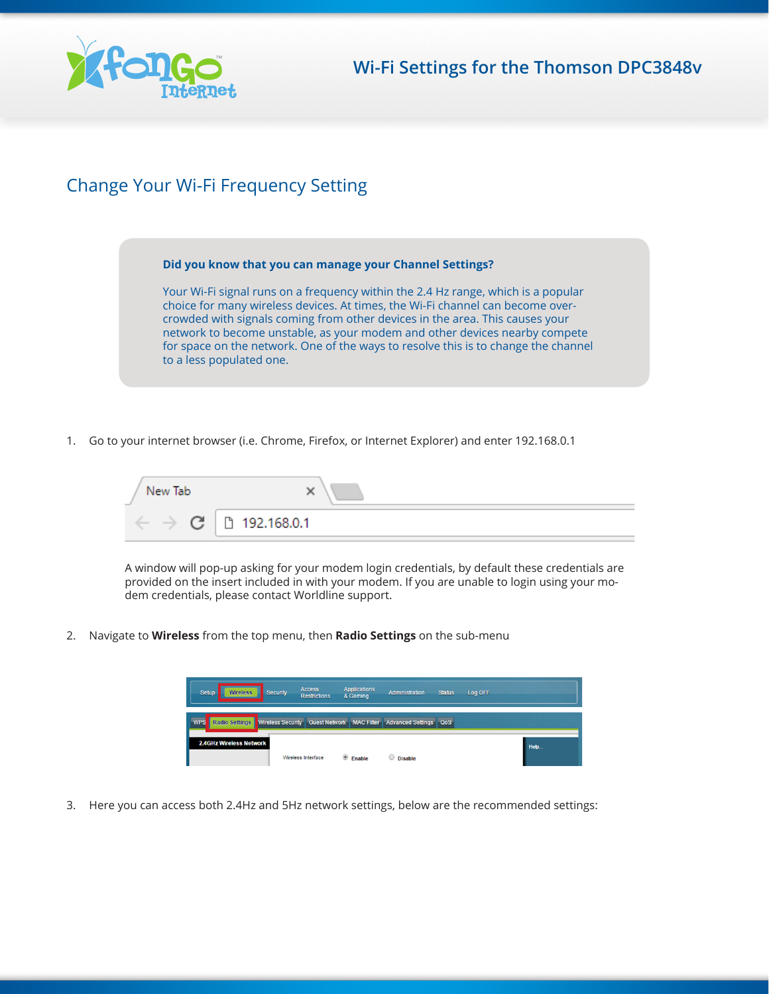

## Change Your Wi-Fi Frequency Setting

**Did you know that you can manage your Channel Settings?**

Your Wi-Fi signal runs on a frequency within the 2.4 Hz range, which is a popular choice for many wireless devices. At times, the Wi-Fi channel can become overcrowded with signals coming from other devices in the area. This causes your network to become unstable, as your modem and other devices nearby compete for space on the network. One of the ways to resolve this is to change the channel to a less populated one.

1. Go to your internet browser (i.e. Chrome, Firefox, or Internet Explorer) and enter 192.168.0.1



A window will pop-up asking for your modem login credentials, by default these credentials are provided on the insert included in with your modem. If you are unable to login using your modem credentials, please contact Worldline support.

2. Navigate to **Wireless** from the top menu, then **Radio Settings** on the sub-menu

| Setup<br><b>Wireless</b><br>Security                                                                    | <b>Access</b><br><b>Restrictions</b> | <b>Applications</b><br>& Gaming | <b>Administration</b> | <b>Status</b> | Log OFF |      |
|---------------------------------------------------------------------------------------------------------|--------------------------------------|---------------------------------|-----------------------|---------------|---------|------|
| Radio Settings   Wireless Security   Guest Network   MAC Filter   Advanced Settings   QoS<br><b>WPS</b> |                                      |                                 |                       |               |         |      |
| <b>2.4GHz Wireless Network</b>                                                                          | Wireless Interface                   | <b>Enable</b>                   | <b>Disable</b>        |               |         | Help |

3. Here you can access both 2.4Hz and 5Hz network settings, below are the recommended settings: